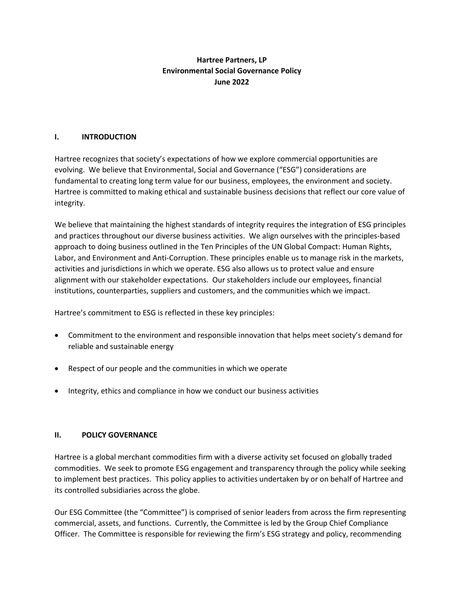# **Hartree Partners, LP Environmental Social Governance Policy June 2022**

## **I. INTRODUCTION**

Hartree recognizes that society's expectations of how we explore commercial opportunities are evolving. We believe that Environmental, Social and Governance ("ESG") considerations are fundamental to creating long term value for our business, employees, the environment and society. Hartree is committed to making ethical and sustainable business decisions that reflect our core value of integrity.

We believe that maintaining the highest standards of integrity requires the integration of ESG principles and practices throughout our diverse business activities. We align ourselves with the principles-based approach to doing business outlined in the Ten Principles of the UN Global Compact: Human Rights, Labor, and Environment and Anti-Corruption. These principles enable us to manage risk in the markets, activities and jurisdictions in which we operate. ESG also allows us to protect value and ensure alignment with our stakeholder expectations. Our stakeholders include our employees, financial institutions, counterparties, suppliers and customers, and the communities which we impact.

Hartree's commitment to ESG is reflected in these key principles:

- Commitment to the environment and responsible innovation that helps meet society's demand for reliable and sustainable energy
- Respect of our people and the communities in which we operate
- Integrity, ethics and compliance in how we conduct our business activities

## **II. POLICY GOVERNANCE**

Hartree is a global merchant commodities firm with a diverse activity set focused on globally traded commodities. We seek to promote ESG engagement and transparency through the policy while seeking to implement best practices. This policy applies to activities undertaken by or on behalf of Hartree and its controlled subsidiaries across the globe.

Our ESG Committee (the "Committee") is comprised of senior leaders from across the firm representing commercial, assets, and functions. Currently, the Committee is led by the Group Chief Compliance Officer. The Committee is responsible for reviewing the firm's ESG strategy and policy, recommending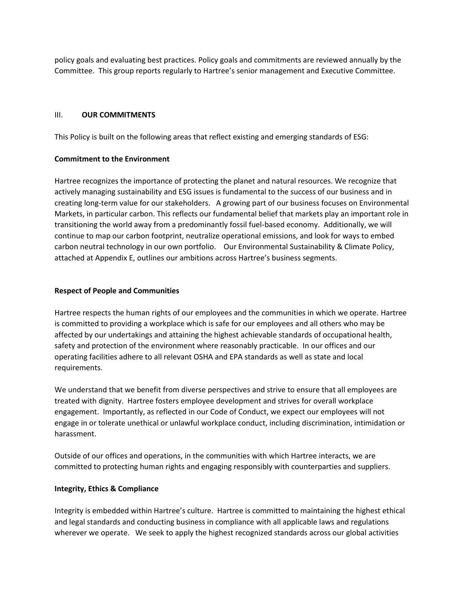policy goals and evaluating best practices. Policy goals and commitments are reviewed annually by the Committee. This group reports regularly to Hartree's senior management and Executive Committee.

## III. **OUR COMMITMENTS**

This Policy is built on the following areas that reflect existing and emerging standards of ESG:

## **Commitment to the Environment**

Hartree recognizes the importance of protecting the planet and natural resources. We recognize that actively managing sustainability and ESG issues is fundamental to the success of our business and in creating long-term value for our stakeholders. A growing part of our business focuses on Environmental Markets, in particular carbon. This reflects our fundamental belief that markets play an important role in transitioning the world away from a predominantly fossil fuel-based economy. Additionally, we will continue to map our carbon footprint, neutralize operational emissions, and look for ways to embed carbon neutral technology in our own portfolio. Our Environmental Sustainability & Climate Policy, attached at Appendix E, outlines our ambitions across Hartree's business segments.

## **Respect of People and Communities**

Hartree respects the human rights of our employees and the communities in which we operate. Hartree is committed to providing a workplace which is safe for our employees and all others who may be affected by our undertakings and attaining the highest achievable standards of occupational health, safety and protection of the environment where reasonably practicable. In our offices and our operating facilities adhere to all relevant OSHA and EPA standards as well as state and local requirements.

We understand that we benefit from diverse perspectives and strive to ensure that all employees are treated with dignity. Hartree fosters employee development and strives for overall workplace engagement. Importantly, as reflected in our Code of Conduct, we expect our employees will not engage in or tolerate unethical or unlawful workplace conduct, including discrimination, intimidation or harassment.

Outside of our offices and operations, in the communities with which Hartree interacts, we are committed to protecting human rights and engaging responsibly with counterparties and suppliers.

## **Integrity, Ethics & Compliance**

Integrity is embedded within Hartree's culture. Hartree is committed to maintaining the highest ethical and legal standards and conducting business in compliance with all applicable laws and regulations wherever we operate. We seek to apply the highest recognized standards across our global activities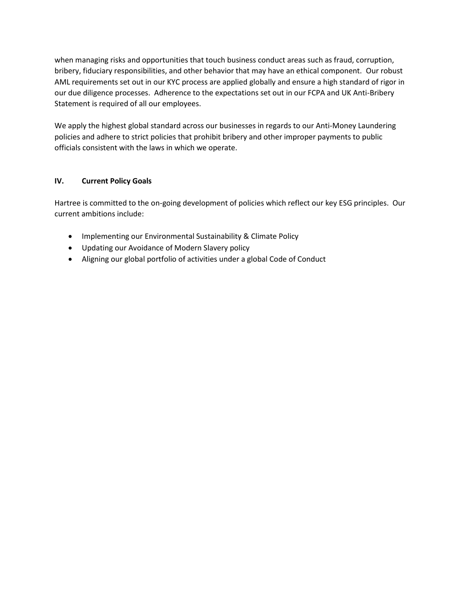when managing risks and opportunities that touch business conduct areas such as fraud, corruption, bribery, fiduciary responsibilities, and other behavior that may have an ethical component. Our robust AML requirements set out in our KYC process are applied globally and ensure a high standard of rigor in our due diligence processes. Adherence to the expectations set out in our FCPA and UK Anti-Bribery Statement is required of all our employees.

We apply the highest global standard across our businesses in regards to our Anti-Money Laundering policies and adhere to strict policies that prohibit bribery and other improper payments to public officials consistent with the laws in which we operate.

## **IV. Current Policy Goals**

Hartree is committed to the on-going development of policies which reflect our key ESG principles. Our current ambitions include:

- Implementing our Environmental Sustainability & Climate Policy
- Updating our Avoidance of Modern Slavery policy
- Aligning our global portfolio of activities under a global Code of Conduct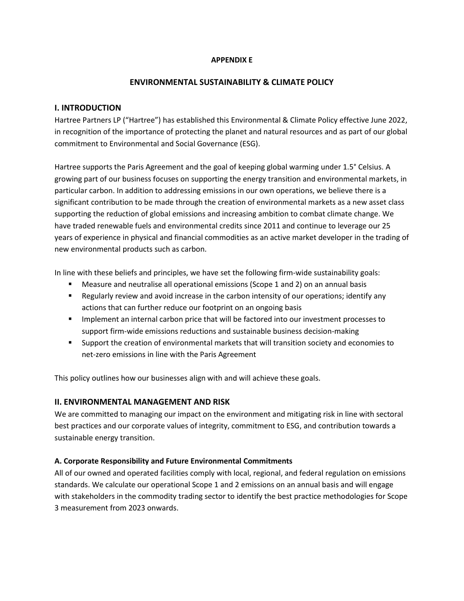## **APPENDIX E**

#### **ENVIRONMENTAL SUSTAINABILITY & CLIMATE POLICY**

## **I. INTRODUCTION**

Hartree Partners LP ("Hartree") has established this Environmental & Climate Policy effective June 2022, in recognition of the importance of protecting the planet and natural resources and as part of our global commitment to Environmental and Social Governance (ESG).

Hartree supports the Paris Agreement and the goal of keeping global warming under 1.5° Celsius. A growing part of our business focuses on supporting the energy transition and environmental markets, in particular carbon. In addition to addressing emissions in our own operations, we believe there is a significant contribution to be made through the creation of environmental markets as a new asset class supporting the reduction of global emissions and increasing ambition to combat climate change. We have traded renewable fuels and environmental credits since 2011 and continue to leverage our 25 years of experience in physical and financial commodities as an active market developer in the trading of new environmental products such as carbon.

In line with these beliefs and principles, we have set the following firm-wide sustainability goals:

- Measure and neutralise all operational emissions (Scope 1 and 2) on an annual basis
- Regularly review and avoid increase in the carbon intensity of our operations; identify any actions that can further reduce our footprint on an ongoing basis
- **■** Implement an internal carbon price that will be factored into our investment processes to support firm-wide emissions reductions and sustainable business decision-making
- Support the creation of environmental markets that will transition society and economies to net-zero emissions in line with the Paris Agreement

This policy outlines how our businesses align with and will achieve these goals.

## **II. ENVIRONMENTAL MANAGEMENT AND RISK**

We are committed to managing our impact on the environment and mitigating risk in line with sectoral best practices and our corporate values of integrity, commitment to ESG, and contribution towards a sustainable energy transition.

## **A. Corporate Responsibility and Future Environmental Commitments**

All of our owned and operated facilities comply with local, regional, and federal regulation on emissions standards. We calculate our operational Scope 1 and 2 emissions on an annual basis and will engage with stakeholders in the commodity trading sector to identify the best practice methodologies for Scope 3 measurement from 2023 onwards.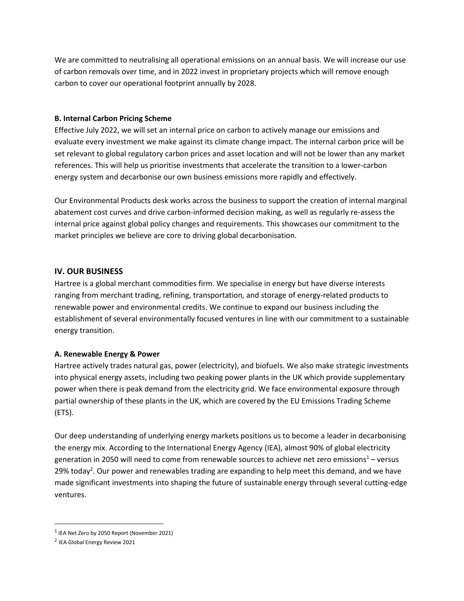We are committed to neutralising all operational emissions on an annual basis. We will increase our use of carbon removals over time, and in 2022 invest in proprietary projects which will remove enough carbon to cover our operational footprint annually by 2028.

## **B. Internal Carbon Pricing Scheme**

Effective July 2022, we will set an internal price on carbon to actively manage our emissions and evaluate every investment we make against its climate change impact. The internal carbon price will be set relevant to global regulatory carbon prices and asset location and will not be lower than any market references. This will help us prioritise investments that accelerate the transition to a lower-carbon energy system and decarbonise our own business emissions more rapidly and effectively.

Our Environmental Products desk works across the business to support the creation of internal marginal abatement cost curves and drive carbon-informed decision making, as well as regularly re-assess the internal price against global policy changes and requirements. This showcases our commitment to the market principles we believe are core to driving global decarbonisation.

## **IV. OUR BUSINESS**

Hartree is a global merchant commodities firm. We specialise in energy but have diverse interests ranging from merchant trading, refining, transportation, and storage of energy-related products to renewable power and environmental credits. We continue to expand our business including the establishment of several environmentally focused ventures in line with our commitment to a sustainable energy transition.

## **A. Renewable Energy & Power**

Hartree actively trades natural gas, power (electricity), and biofuels. We also make strategic investments into physical energy assets, including two peaking power plants in the UK which provide supplementary power when there is peak demand from the electricity grid. We face environmental exposure through partial ownership of these plants in the UK, which are covered by the EU Emissions Trading Scheme (ETS).

Our deep understanding of underlying energy markets positions us to become a leader in decarbonising the energy mix. According to the International Energy Agency (IEA), almost 90% of global electricity generation in 2050 will need to come from renewable sources to achieve net zero emissions<sup>1</sup> – versus 29% today<sup>2</sup>. Our power and renewables trading are expanding to help meet this demand, and we have made significant investments into shaping the future of sustainable energy through several cutting-edge ventures.

 $^1$  IEA Net Zero by 2050 Report (November 2021)

<sup>&</sup>lt;sup>2</sup> IEA Global Energy Review 2021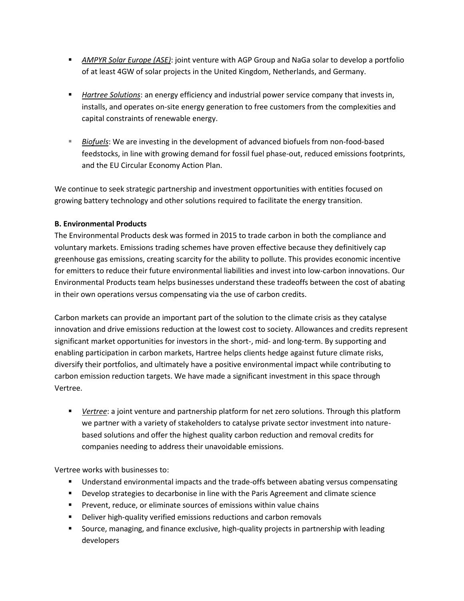- *AMPYR Solar Europe (ASE)*: joint venture with AGP Group and NaGa solar to develop a portfolio of at least 4GW of solar projects in the United Kingdom, Netherlands, and Germany.
- **EXECT** *Hartree Solutions*: an energy efficiency and industrial power service company that invests in, installs, and operates on-site energy generation to free customers from the complexities and capital constraints of renewable energy.
- **EXECO** *Biofuels*: We are investing in the development of advanced biofuels from non-food-based feedstocks, in line with growing demand for fossil fuel phase-out, reduced emissions footprints, and the EU Circular Economy Action Plan.

We continue to seek strategic partnership and investment opportunities with entities focused on growing battery technology and other solutions required to facilitate the energy transition.

## **B. Environmental Products**

The Environmental Products desk was formed in 2015 to trade carbon in both the compliance and voluntary markets. Emissions trading schemes have proven effective because they definitively cap greenhouse gas emissions, creating scarcity for the ability to pollute. This provides economic incentive for emitters to reduce their future environmental liabilities and invest into low-carbon innovations. Our Environmental Products team helps businesses understand these tradeoffs between the cost of abating in their own operations versus compensating via the use of carbon credits.

Carbon markets can provide an important part of the solution to the climate crisis as they catalyse innovation and drive emissions reduction at the lowest cost to society. Allowances and credits represent significant market opportunities for investors in the short-, mid- and long-term. By supporting and enabling participation in carbon markets, Hartree helps clients hedge against future climate risks, diversify their portfolios, and ultimately have a positive environmental impact while contributing to carbon emission reduction targets. We have made a significant investment in this space through Vertree.

■ *Vertree*: a joint venture and partnership platform for net zero solutions. Through this platform we partner with a variety of stakeholders to catalyse private sector investment into naturebased solutions and offer the highest quality carbon reduction and removal credits for companies needing to address their unavoidable emissions.

Vertree works with businesses to:

- Understand environmental impacts and the trade-offs between abating versus compensating
- Develop strategies to decarbonise in line with the Paris Agreement and climate science
- Prevent, reduce, or eliminate sources of emissions within value chains
- Deliver high-quality verified emissions reductions and carbon removals
- Source, managing, and finance exclusive, high-quality projects in partnership with leading developers